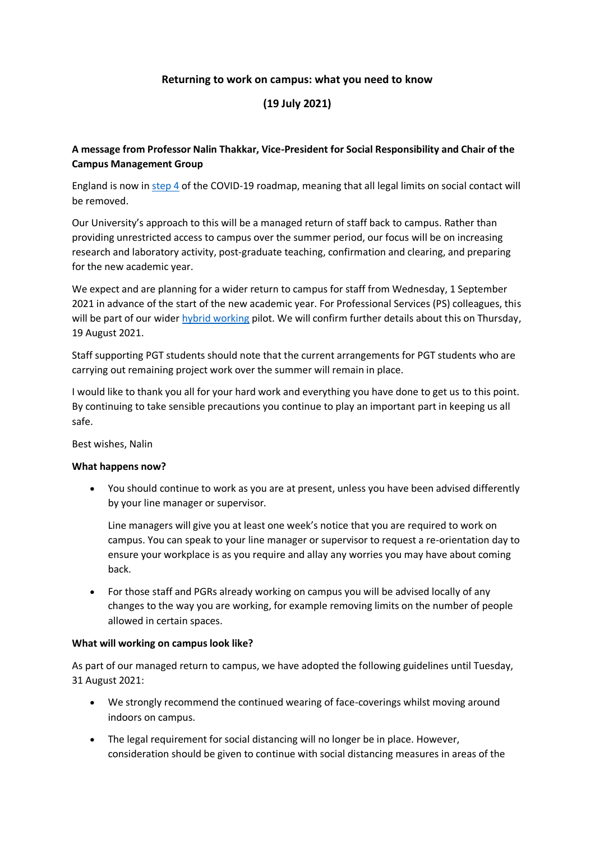### **Returning to work on campus: what you need to know**

# **(19 July 2021)**

## **A message from Professor Nalin Thakkar, Vice-President for Social Responsibility and Chair of the Campus Management Group**

England is now in [step 4](https://www.gov.uk/government/publications/covid-19-response-spring-2021/covid-19-response-spring-2021-summary#step-4---not-before-21-june) of the COVID-19 roadmap, meaning that all legal limits on social contact will be removed.

Our University's approach to this will be a managed return of staff back to campus. Rather than providing unrestricted access to campus over the summer period, our focus will be on increasing research and laboratory activity, post-graduate teaching, confirmation and clearing, and preparing for the new academic year.

We expect and are planning for a wider return to campus for staff from Wednesday, 1 September 2021 in advance of the start of the new academic year. For Professional Services (PS) colleagues, this will be part of our wider [hybrid working](https://www.staffnet.manchester.ac.uk/human-resources/current-staff/leave-working-arrangements/hybrid-working/) pilot. We will confirm further details about this on Thursday, 19 August 2021.

Staff supporting PGT students should note that the current arrangements for PGT students who are carrying out remaining project work over the summer will remain in place.

I would like to thank you all for your hard work and everything you have done to get us to this point. By continuing to take sensible precautions you continue to play an important part in keeping us all safe.

Best wishes, Nalin

#### **What happens now?**

 You should continue to work as you are at present, unless you have been advised differently by your line manager or supervisor.

Line managers will give you at least one week's notice that you are required to work on campus. You can speak to your line manager or supervisor to request a re-orientation day to ensure your workplace is as you require and allay any worries you may have about coming back.

 For those staff and PGRs already working on campus you will be advised locally of any changes to the way you are working, for example removing limits on the number of people allowed in certain spaces.

#### **What will working on campus look like?**

As part of our managed return to campus, we have adopted the following guidelines until Tuesday, 31 August 2021:

- We strongly recommend the continued wearing of face-coverings whilst moving around indoors on campus.
- The legal requirement for social distancing will no longer be in place. However, consideration should be given to continue with social distancing measures in areas of the